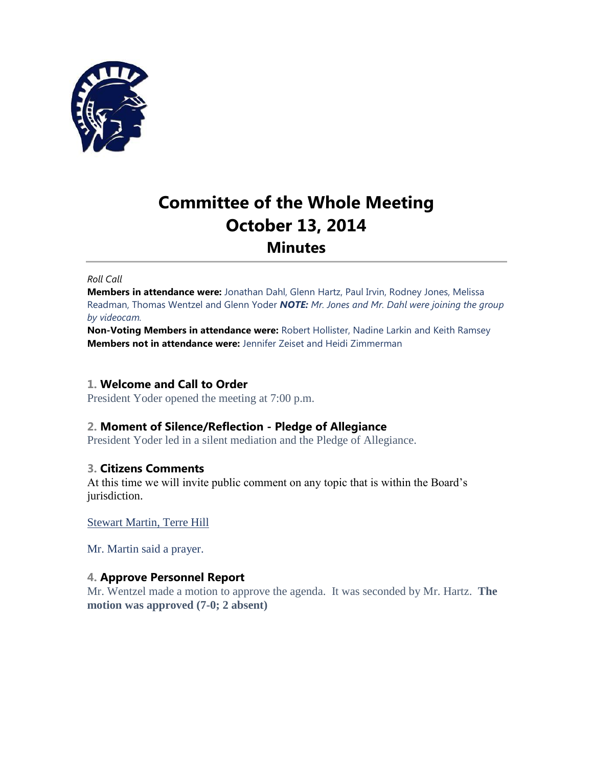

# **Committee of the Whole Meeting October 13, 2014 Minutes**

#### *Roll Call*

**Members in attendance were:** Jonathan Dahl, Glenn Hartz, Paul Irvin, Rodney Jones, Melissa Readman, Thomas Wentzel and Glenn Yoder *NOTE: Mr. Jones and Mr. Dahl were joining the group by videocam.*

**Non-Voting Members in attendance were:** Robert Hollister, Nadine Larkin and Keith Ramsey **Members not in attendance were:** Jennifer Zeiset and Heidi Zimmerman

#### **1. Welcome and Call to Order**

President Yoder opened the meeting at 7:00 p.m.

# **2. Moment of Silence/Reflection - Pledge of Allegiance**

President Yoder led in a silent mediation and the Pledge of Allegiance.

## **3. Citizens Comments**

At this time we will invite public comment on any topic that is within the Board's jurisdiction.

Stewart Martin, Terre Hill

Mr. Martin said a prayer.

## **4. Approve Personnel Report**

Mr. Wentzel made a motion to approve the agenda. It was seconded by Mr. Hartz. **The motion was approved (7-0; 2 absent)**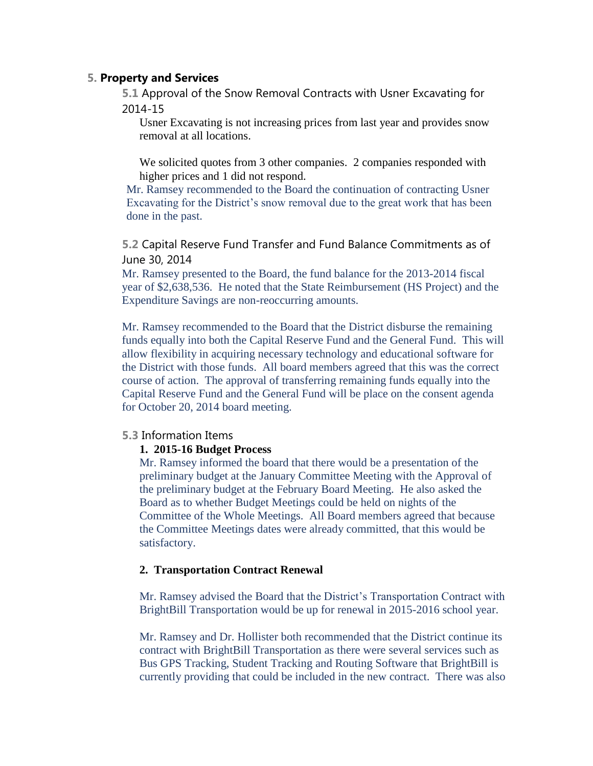# **5. Property and Services**

**5.1** Approval of the Snow Removal Contracts with Usner Excavating for 2014-15

Usner Excavating is not increasing prices from last year and provides snow removal at all locations.

We solicited quotes from 3 other companies. 2 companies responded with higher prices and 1 did not respond.

Mr. Ramsey recommended to the Board the continuation of contracting Usner Excavating for the District's snow removal due to the great work that has been done in the past.

**5.2** Capital Reserve Fund Transfer and Fund Balance Commitments as of June 30, 2014

Mr. Ramsey presented to the Board, the fund balance for the 2013-2014 fiscal year of \$2,638,536. He noted that the State Reimbursement (HS Project) and the Expenditure Savings are non-reoccurring amounts.

Mr. Ramsey recommended to the Board that the District disburse the remaining funds equally into both the Capital Reserve Fund and the General Fund. This will allow flexibility in acquiring necessary technology and educational software for the District with those funds. All board members agreed that this was the correct course of action. The approval of transferring remaining funds equally into the Capital Reserve Fund and the General Fund will be place on the consent agenda for October 20, 2014 board meeting.

#### **5.3** Information Items

#### **1. 2015-16 Budget Process**

Mr. Ramsey informed the board that there would be a presentation of the preliminary budget at the January Committee Meeting with the Approval of the preliminary budget at the February Board Meeting. He also asked the Board as to whether Budget Meetings could be held on nights of the Committee of the Whole Meetings. All Board members agreed that because the Committee Meetings dates were already committed, that this would be satisfactory.

## **2. Transportation Contract Renewal**

Mr. Ramsey advised the Board that the District's Transportation Contract with BrightBill Transportation would be up for renewal in 2015-2016 school year.

Mr. Ramsey and Dr. Hollister both recommended that the District continue its contract with BrightBill Transportation as there were several services such as Bus GPS Tracking, Student Tracking and Routing Software that BrightBill is currently providing that could be included in the new contract. There was also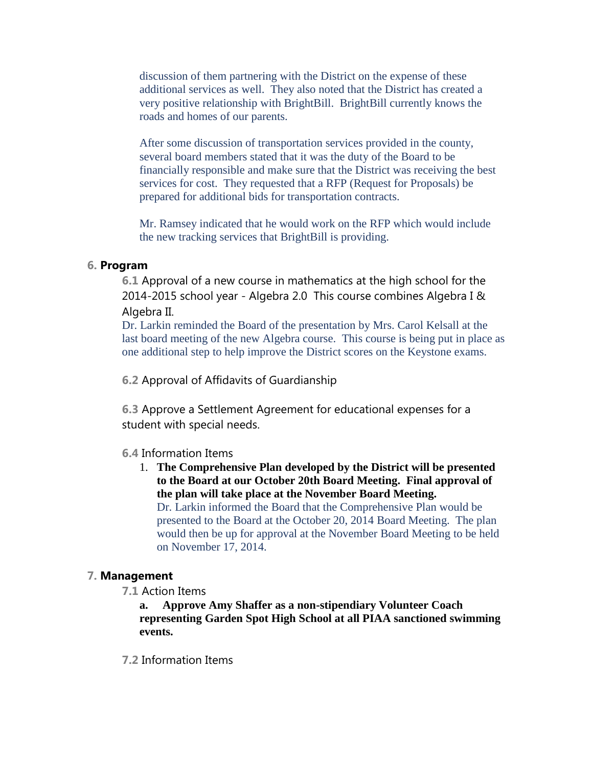discussion of them partnering with the District on the expense of these additional services as well. They also noted that the District has created a very positive relationship with BrightBill. BrightBill currently knows the roads and homes of our parents.

After some discussion of transportation services provided in the county, several board members stated that it was the duty of the Board to be financially responsible and make sure that the District was receiving the best services for cost. They requested that a RFP (Request for Proposals) be prepared for additional bids for transportation contracts.

Mr. Ramsey indicated that he would work on the RFP which would include the new tracking services that BrightBill is providing.

# **6. Program**

**6.1** Approval of a new course in mathematics at the high school for the 2014-2015 school year - Algebra 2.0 This course combines Algebra I & Algebra II.

Dr. Larkin reminded the Board of the presentation by Mrs. Carol Kelsall at the last board meeting of the new Algebra course. This course is being put in place as one additional step to help improve the District scores on the Keystone exams.

**6.2** Approval of Affidavits of Guardianship

**6.3** Approve a Settlement Agreement for educational expenses for a student with special needs.

## **6.4** Information Items

1. **The Comprehensive Plan developed by the District will be presented to the Board at our October 20th Board Meeting. Final approval of the plan will take place at the November Board Meeting.** Dr. Larkin informed the Board that the Comprehensive Plan would be presented to the Board at the October 20, 2014 Board Meeting. The plan would then be up for approval at the November Board Meeting to be held on November 17, 2014.

## **7. Management**

**7.1** Action Items

**a. Approve Amy Shaffer as a non-stipendiary Volunteer Coach representing Garden Spot High School at all PIAA sanctioned swimming events.**

**7.2** Information Items